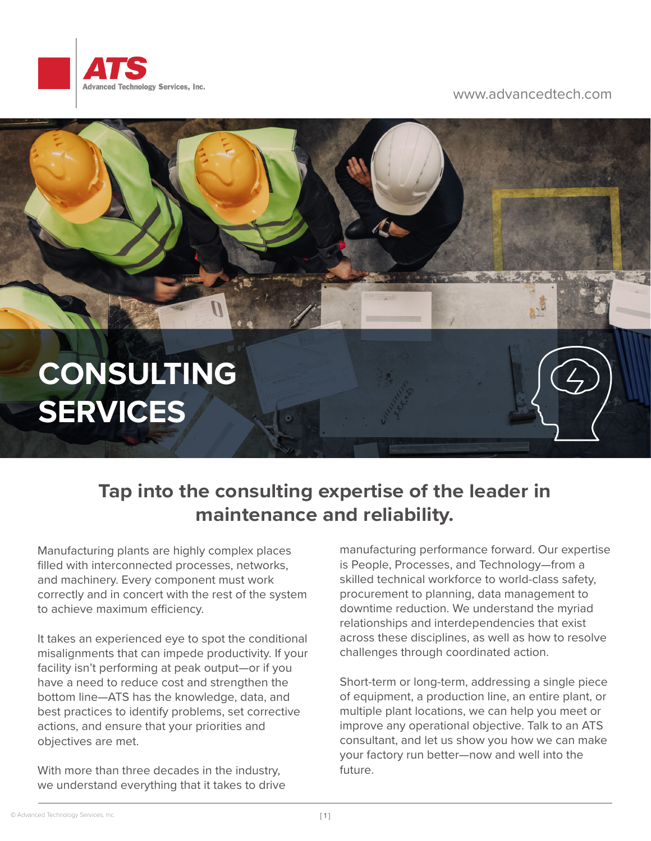

## www.advancedtech.com

## **CONSULTING SERVICES**

## **Tap into the consulting expertise of the leader in maintenance and reliability.**

Manufacturing plants are highly complex places filled with interconnected processes, networks, and machinery. Every component must work correctly and in concert with the rest of the system to achieve maximum efficiency.

It takes an experienced eye to spot the conditional misalignments that can impede productivity. If your facility isn't performing at peak output—or if you have a need to reduce cost and strengthen the bottom line—ATS has the knowledge, data, and best practices to identify problems, set corrective actions, and ensure that your priorities and objectives are met.

With more than three decades in the industry, we understand everything that it takes to drive manufacturing performance forward. Our expertise is People, Processes, and Technology—from a skilled technical workforce to world-class safety, procurement to planning, data management to downtime reduction. We understand the myriad relationships and interdependencies that exist across these disciplines, as well as how to resolve challenges through coordinated action.

Short-term or long-term, addressing a single piece of equipment, a production line, an entire plant, or multiple plant locations, we can help you meet or improve any operational objective. Talk to an ATS consultant, and let us show you how we can make your factory run better—now and well into the future.